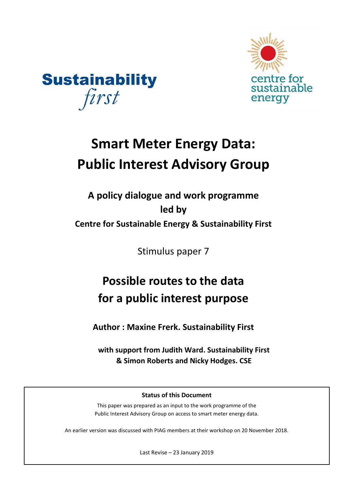



# **Smart Meter Energy Data: Public Interest Advisory Group**

## **A policy dialogue and work programme led by Centre for Sustainable Energy & Sustainability First**

Stimulus paper 7

## **Possible routes to the data for a public interest purpose**

**Author : Maxine Frerk. Sustainability First**

**with support from Judith Ward. Sustainability First & Simon Roberts and Nicky Hodges. CSE**

### **Status of this Document**

This paper was prepared as an input to the work programme of the Public Interest Advisory Group on access to smart meter energy data.

An earlier version was discussed with PIAG members at their workshop on 20 November 2018.

Last Revise – 23 January 2019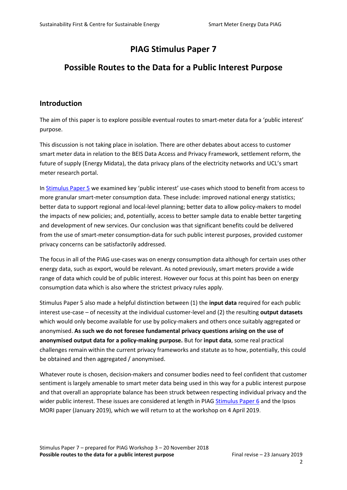## **PIAG Stimulus Paper 7**

## **Possible Routes to the Data for a Public Interest Purpose**

#### **Introduction**

The aim of this paper is to explore possible eventual routes to smart-meter data for a 'public interest' purpose.

This discussion is not taking place in isolation. There are other debates about access to customer smart meter data in relation to the BEIS Data Access and Privacy Framework, settlement reform, the future of supply (Energy Midata), the data privacy plans of the electricity networks and UCL's smart meter research portal.

In [Stimulus Paper 5](https://docs.wixstatic.com/ugd/ea9deb_07b59cc120034039bf267650b3cb5ad7.pdf) we examined key 'public interest' use-cases which stood to benefit from access to more granular smart-meter consumption data. These include: improved national energy statistics; better data to support regional and local-level planning; better data to allow policy-makers to model the impacts of new policies; and, potentially, access to better sample data to enable better targeting and development of new services. Our conclusion was that significant benefits could be delivered from the use of smart-meter consumption-data for such public interest purposes, provided customer privacy concerns can be satisfactorily addressed.

The focus in all of the PIAG use-cases was on energy consumption data although for certain uses other energy data, such as export, would be relevant. As noted previously, smart meters provide a wide range of data which could be of public interest. However our focus at this point has been on energy consumption data which is also where the strictest privacy rules apply.

Stimulus Paper 5 also made a helpful distinction between (1) the **input data** required for each public interest use-case – of necessity at the individual customer-level and (2) the resulting **output datasets** which would only become available for use by policy-makers and others once suitably aggregated or anonymised. **As such we do not foresee fundamental privacy questions arising on the use of anonymised output data for a policy-making purpose.** But for **input data**, some real practical challenges remain within the current privacy frameworks and statute as to how, potentially, this could be obtained and then aggregated / anonymised.

Whatever route is chosen, decision-makers and consumer bodies need to feel confident that customer sentiment is largely amenable to smart meter data being used in this way for a public interest purpose and that overall an appropriate balance has been struck between respecting individual privacy and the wider public interest. These issues are considered at length in PIAG [Stimulus Paper 6](https://docs.wixstatic.com/ugd/ea9deb_db5eb9491ebe458b9f482f7374a771ae.pdf) and the Ipsos MORI paper (January 2019), which we will return to at the workshop on 4 April 2019.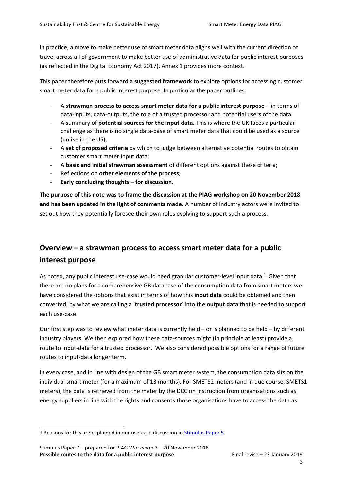In practice, a move to make better use of smart meter data aligns well with the current direction of travel across all of government to make better use of administrative data for public interest purposes (as reflected in the Digital Economy Act 2017). Annex 1 provides more context.

This paper therefore puts forward **a suggested framework** to explore options for accessing customer smart meter data for a public interest purpose. In particular the paper outlines:

- A **strawman process to access smart meter data for a public interest purpose**  in terms of data-inputs, data-outputs, the role of a trusted processor and potential users of the data;
- A summary of **potential sources for the input data.** This is where the UK faces a particular challenge as there is no single data-base of smart meter data that could be used as a source (unlike in the US);
- A **set of proposed criteria** by which to judge between alternative potential routes to obtain customer smart meter input data;
- A **basic and initial strawman assessment** of different options against these criteria;
- Reflections on **other elements of the process**;
- **Early concluding thoughts – for discussion**.

**The purpose of this note was to frame the discussion at the PIAG workshop on 20 November 2018 and has been updated in the light of comments made.** A number of industry actors were invited to set out how they potentially foresee their own roles evolving to support such a process.

## **Overview – a strawman process to access smart meter data for a public interest purpose**

As noted, any public interest use-case would need granular customer-level input data.<sup>1</sup> Given that there are no plans for a comprehensive GB database of the consumption data from smart meters we have considered the options that exist in terms of how this **input data** could be obtained and then converted, by what we are calling a '**trusted processor**' into the **output data** that is needed to support each use-case.

Our first step was to review what meter data is currently held – or is planned to be held – by different industry players. We then explored how these data-sources might (in principle at least) provide a route to input-data for a trusted processor. We also considered possible options for a range of future routes to input-data longer term.

In every case, and in line with design of the GB smart meter system, the consumption data sits on the individual smart meter (for a maximum of 13 months). For SMETS2 meters (and in due course, SMETS1 meters), the data is retrieved from the meter by the DCC on instruction from organisations such as energy suppliers in line with the rights and consents those organisations have to access the data as

<sup>1</sup> Reasons for this are explained in our use-case discussion in [Stimulus Paper 5](https://docs.wixstatic.com/ugd/ea9deb_07b59cc120034039bf267650b3cb5ad7.pdf)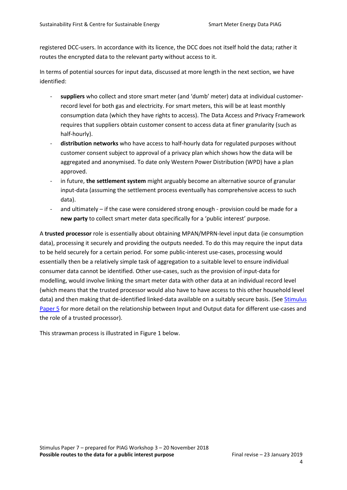registered DCC-users. In accordance with its licence, the DCC does not itself hold the data; rather it routes the encrypted data to the relevant party without access to it.

In terms of potential sources for input data, discussed at more length in the next section, we have identified:

- **suppliers** who collect and store smart meter (and 'dumb' meter) data at individual customerrecord level for both gas and electricity. For smart meters, this will be at least monthly consumption data (which they have rights to access). The Data Access and Privacy Framework requires that suppliers obtain customer consent to access data at finer granularity (such as half-hourly).
- distribution networks who have access to half-hourly data for regulated purposes without customer consent subject to approval of a privacy plan which shows how the data will be aggregated and anonymised. To date only Western Power Distribution (WPD) have a plan approved.
- in future, **the settlement system** might arguably become an alternative source of granular input-data (assuming the settlement process eventually has comprehensive access to such data).
- and ultimately if the case were considered strong enough provision could be made for a **new party** to collect smart meter data specifically for a 'public interest' purpose.

A **trusted processor** role is essentially about obtaining MPAN/MPRN-level input data (ie consumption data), processing it securely and providing the outputs needed. To do this may require the input data to be held securely for a certain period. For some public-interest use-cases, processing would essentially then be a relatively simple task of aggregation to a suitable level to ensure individual consumer data cannot be identified. Other use-cases, such as the provision of input-data for modelling, would involve linking the smart meter data with other data at an individual record level (which means that the trusted processor would also have to have access to this other household level data) and then making that de-identified linked-data available on a suitably secure basis. (See [Stimulus](https://docs.wixstatic.com/ugd/ea9deb_07b59cc120034039bf267650b3cb5ad7.pdf)  [Paper 5](https://docs.wixstatic.com/ugd/ea9deb_07b59cc120034039bf267650b3cb5ad7.pdf) for more detail on the relationship between Input and Output data for different use-cases and the role of a trusted processor).

This strawman process is illustrated in Figure 1 below.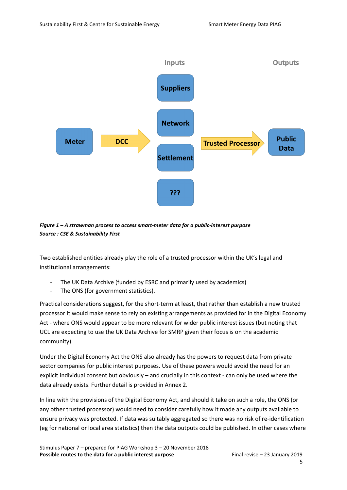

*Figure 1 – A strawman process to access smart-meter data for a public-interest purpose Source : CSE & Sustainability First*

Two established entities already play the role of a trusted processor within the UK's legal and institutional arrangements:

- The UK Data Archive (funded by ESRC and primarily used by academics)
- The ONS (for government statistics).

Practical considerations suggest, for the short-term at least, that rather than establish a new trusted processor it would make sense to rely on existing arrangements as provided for in the Digital Economy Act - where ONS would appear to be more relevant for wider public interest issues (but noting that UCL are expecting to use the UK Data Archive for SMRP given their focus is on the academic community).

Under the Digital Economy Act the ONS also already has the powers to request data from private sector companies for public interest purposes. Use of these powers would avoid the need for an explicit individual consent but obviously – and crucially in this context - can only be used where the data already exists. Further detail is provided in Annex 2.

In line with the provisions of the Digital Economy Act, and should it take on such a role, the ONS (or any other trusted processor) would need to consider carefully how it made any outputs available to ensure privacy was protected. If data was suitably aggregated so there was no risk of re-identification (eg for national or local area statistics) then the data outputs could be published. In other cases where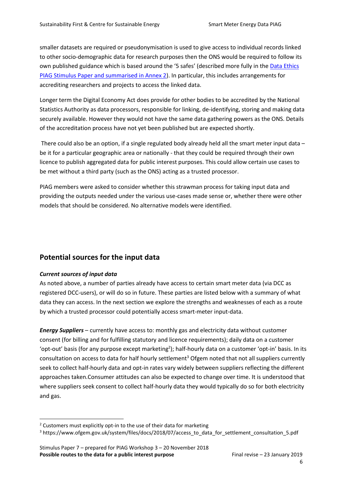smaller datasets are required or pseudonymisation is used to give access to individual records linked to other socio-demographic data for research purposes then the ONS would be required to follow its own published guidance which is based around the '5 safes' (described more fully in the [Data Ethics](https://docs.wixstatic.com/ugd/ea9deb_bcc611cbfc4b4687b4fdd7a4a00fe8b5.pdf)  [PIAG Stimulus Paper](https://docs.wixstatic.com/ugd/ea9deb_bcc611cbfc4b4687b4fdd7a4a00fe8b5.pdf) and summarised in Annex 2). In particular, this includes arrangements for accrediting researchers and projects to access the linked data.

Longer term the Digital Economy Act does provide for other bodies to be accredited by the National Statistics Authority as data processors, responsible for linking, de-identifying, storing and making data securely available. However they would not have the same data gathering powers as the ONS. Details of the accreditation process have not yet been published but are expected shortly.

There could also be an option, if a single regulated body already held all the smart meter input data be it for a particular geographic area or nationally - that they could be required through their own licence to publish aggregated data for public interest purposes. This could allow certain use cases to be met without a third party (such as the ONS) acting as a trusted processor.

PIAG members were asked to consider whether this strawman process for taking input data and providing the outputs needed under the various use-cases made sense or, whether there were other models that should be considered. No alternative models were identified.

## **Potential sources for the input data**

#### *Current sources of input data*

 $\overline{a}$ 

As noted above, a number of parties already have access to certain smart meter data (via DCC as registered DCC-users), or will do so in future. These parties are listed below with a summary of what data they can access. In the next section we explore the strengths and weaknesses of each as a route by which a trusted processor could potentially access smart-meter input-data.

*Energy Suppliers* – currently have access to: monthly gas and electricity data without customer consent (for billing and for fulfilling statutory and licence requirements); daily data on a customer 'opt-out' basis (for any purpose except marketing<sup>2</sup>); half-hourly data on a customer 'opt-in' basis. In its consultation on access to data for half hourly settlement<sup>3</sup> Ofgem noted that not all suppliers currently seek to collect half-hourly data and opt-in rates vary widely between suppliers reflecting the different approaches taken.Consumer attitudes can also be expected to change over time. It is understood that where suppliers seek consent to collect half-hourly data they would typically do so for both electricity and gas.

<sup>&</sup>lt;sup>2</sup> Customers must explicitly opt-in to the use of their data for marketing

<sup>3</sup> https://www.ofgem.gov.uk/system/files/docs/2018/07/access\_to\_data\_for\_settlement\_consultation\_5.pdf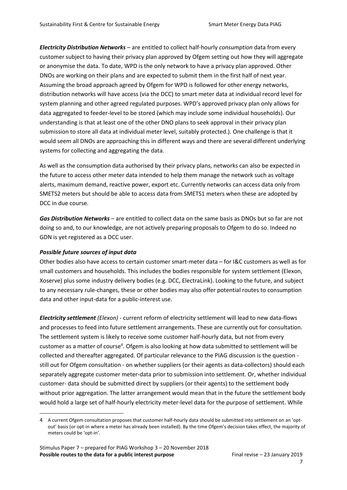*Electricity Distribution Networks* – are entitled to collect half-hourly *consumption* data from every customer subject to having their privacy plan approved by Ofgem setting out how they will aggregate or anonymise the data. To date, WPD is the only network to have a privacy plan approved. Other DNOs are working on their plans and are expected to submit them in the first half of next year. Assuming the broad approach agreed by Ofgem for WPD is followed for other energy networks, distribution networks will have access (via the DCC) to smart meter data at individual record level for system planning and other agreed regulated purposes. WPD's approved privacy plan only allows for data aggregated to feeder-level to be stored (which may include some individual households). Our understanding is that at least one of the other DNO plans to seek approval in their privacy plan submission to store all data at individual meter level, suitably protected.). One challenge is that it would seem all DNOs are approaching this in different ways and there are several different underlying systems for collecting and aggregating the data.

As well as the consumption data authorised by their privacy plans, networks can also be expected in the future to access other meter data intended to help them manage the network such as voltage alerts, maximum demand, reactive power, export etc. Currently networks can access data only from SMETS2 meters but should be able to access data from SMETS1 meters when these are adopted by DCC in due course.

*Gas Distribution Networks* – are entitled to collect data on the same basis as DNOs but so far are not doing so and, to our knowledge, are not actively preparing proposals to Ofgem to do so. Indeed no GDN is yet registered as a DCC user.

#### *Possible future sources of input data*

 $\overline{a}$ 

Other bodies also have access to certain customer smart-meter data – for I&C customers as well as for small customers and households. This includes the bodies responsible for system settlement (Elexon, Xoserve) plus some industry delivery bodies (e.g. DCC, ElectraLink). Looking to the future, and subject to any necessary rule-changes, these or other bodies may also offer potential routes to consumption data and other input-data for a public-interest use.

*Electricity settlement (Elexon)* - current reform of electricity settlement will lead to new data-flows and processes to feed into future settlement arrangements. These are currently out for consultation. The settlement system is likely to receive some customer half-hourly data, but not from every customer as a matter of course<sup>4</sup>. Ofgem is also looking at how data submitted to settlement will be collected and thereafter aggregated. Of particular relevance to the PIAG discussion is the question still out for Ofgem consultation - on whether suppliers (or their agents as data-collectors) should each separately aggregate customer meter-data prior to submission into settlement. Or, whether individual customer- data should be submitted direct by suppliers (or their agents) to the settlement body without prior aggregation. The latter arrangement would mean that in the future the settlement body would hold a large set of half-hourly electricity meter-level data for the purpose of settlement. While

<sup>4</sup> A current Ofgem consultation proposes that customer half-hourly data should be submitted into settlement on an 'optout' basis (or opt-in where a meter has already been installed). By the time Ofgem's decision takes effect, the majority of meters could be 'opt-in'.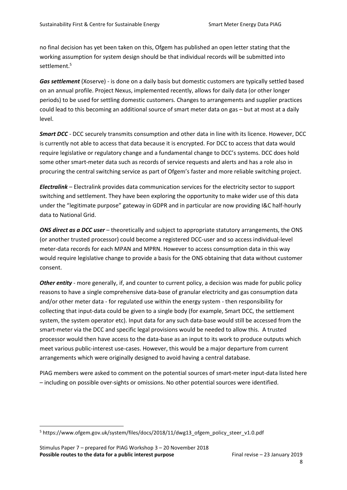no final decision has yet been taken on this, Ofgem has published an open letter stating that the working assumption for system design should be that individual records will be submitted into settlement.<sup>5</sup>

*Gas settlement* (Xoserve) - is done on a daily basis but domestic customers are typically settled based on an annual profile. Project Nexus, implemented recently, allows for daily data (or other longer periods) to be used for settling domestic customers. Changes to arrangements and supplier practices could lead to this becoming an additional source of smart meter data on gas – but at most at a daily level.

*Smart DCC -* DCC securely transmits consumption and other data in line with its licence. However, DCC is currently not able to access that data because it is encrypted. For DCC to access that data would require legislative or regulatory change and a fundamental change to DCC's systems. DCC does hold some other smart-meter data such as records of service requests and alerts and has a role also in procuring the central switching service as part of Ofgem's faster and more reliable switching project.

*Electralink* – Electralink provides data communication services for the electricity sector to support switching and settlement. They have been exploring the opportunity to make wider use of this data under the "legitimate purpose" gateway in GDPR and in particular are now providing I&C half-hourly data to National Grid.

*ONS direct as a DCC user* – theoretically and subject to appropriate statutory arrangements, the ONS (or another trusted processor) could become a registered DCC-user and so access individual-level meter-data records for each MPAN and MPRN. However to access consumption data in this way would require legislative change to provide a basis for the ONS obtaining that data without customer consent.

*Other entity* - more generally, if, and counter to current policy, a decision was made for public policy reasons to have a single comprehensive data-base of granular electricity and gas consumption data and/or other meter data - for regulated use within the energy system - then responsibility for collecting that input-data could be given to a single body (for example, Smart DCC, the settlement system, the system operator etc). Input data for any such data-base would still be accessed from the smart-meter via the DCC and specific legal provisions would be needed to allow this. A trusted processor would then have access to the data-base as an input to its work to produce outputs which meet various public-interest use-cases. However, this would be a major departure from current arrangements which were originally designed to avoid having a central database.

PIAG members were asked to comment on the potential sources of smart-meter input-data listed here – including on possible over-sights or omissions. No other potential sources were identified.

<sup>&</sup>lt;sup>5</sup> https://www.ofgem.gov.uk/system/files/docs/2018/11/dwg13\_ofgem\_policy\_steer\_v1.0.pdf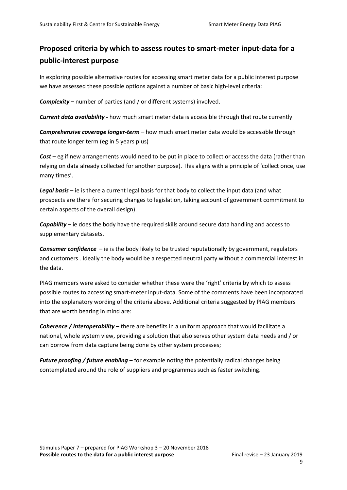## **Proposed criteria by which to assess routes to smart-meter input-data for a public-interest purpose**

In exploring possible alternative routes for accessing smart meter data for a public interest purpose we have assessed these possible options against a number of basic high-level criteria:

*Complexity* **–** number of parties (and / or different systems) involved.

*Current data availability -* how much smart meter data is accessible through that route currently

*Comprehensive coverage longer-term* – how much smart meter data would be accessible through that route longer term (eg in 5 years plus)

*Cost* – eg if new arrangements would need to be put in place to collect or access the data (rather than relying on data already collected for another purpose). This aligns with a principle of 'collect once, use many times'.

*Legal basis* – ie is there a current legal basis for that body to collect the input data (and what prospects are there for securing changes to legislation, taking account of government commitment to certain aspects of the overall design).

*Capability* – ie does the body have the required skills around secure data handling and access to supplementary datasets.

*Consumer confidence* – ie is the body likely to be trusted reputationally by government, regulators and customers . Ideally the body would be a respected neutral party without a commercial interest in the data.

PIAG members were asked to consider whether these were the 'right' criteria by which to assess possible routes to accessing smart-meter input-data. Some of the comments have been incorporated into the explanatory wording of the criteria above. Additional criteria suggested by PIAG members that are worth bearing in mind are:

*Coherence / interoperability* – there are benefits in a uniform approach that would facilitate a national, whole system view, providing a solution that also serves other system data needs and / or can borrow from data capture being done by other system processes;

*Future proofing / future enabling* – for example noting the potentially radical changes being contemplated around the role of suppliers and programmes such as faster switching.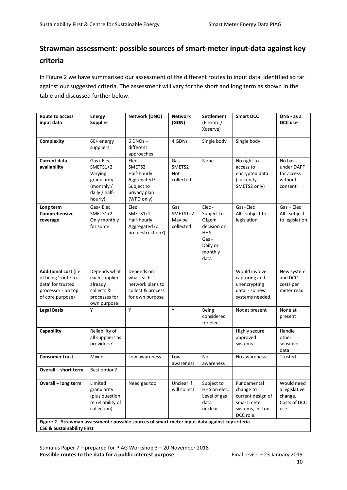## **Strawman assessment: possible sources of smart-meter input-data against key criteria**

In Figure 2 we have summarised our assessment of the different routes to input data identified so far against our suggested criteria. The assessment will vary for the short and long term as shown in the table and discussed further below.

| Route to access<br>input data                                                                                                             | <b>Energy</b><br><b>Supplier</b>                                                         | Network (DNO)                                                                            | <b>Network</b><br>(GDN)                | <b>Settlement</b><br>(Elexon /<br>Xoserve)                                                        | <b>Smart DCC</b>                                                                              | ONS - as a<br>DCC user                                         |
|-------------------------------------------------------------------------------------------------------------------------------------------|------------------------------------------------------------------------------------------|------------------------------------------------------------------------------------------|----------------------------------------|---------------------------------------------------------------------------------------------------|-----------------------------------------------------------------------------------------------|----------------------------------------------------------------|
| Complexity                                                                                                                                | 60+ energy<br>suppliers                                                                  | $6$ DNOs $-$<br>different<br>approaches                                                  | 4 GDNs                                 | Single body                                                                                       | Single body                                                                                   |                                                                |
| <b>Current data</b><br>availability                                                                                                       | Gas+ Elec<br>SMETS1+2<br>Varying<br>granularity<br>(monthly/<br>daily / half-<br>hourly) | Elec<br>SMETS2<br>Half-hourly<br>Aggregated?<br>Subject to<br>privacy plan<br>(WPD only) | Gas<br>SMETS2<br>Not<br>collected      | None                                                                                              | No right to<br>access to<br>encrypted data<br>(currently<br>SMETS2 only)                      | No basis<br>under DAPF<br>for access<br>without<br>consent     |
| Long term<br>Comprehensive<br>coverage                                                                                                    | Gas+ Elec<br>SMETS1+2<br>Only monthly<br>for some                                        | Elec<br>SMETS1+2<br>Half-hourly<br>Aggregated (or<br>pre destruction?)                   | Gas<br>SMETS1+2<br>May be<br>collected | Elec-<br>Subject to<br>Ofgem<br>decision on<br><b>HHS</b><br>Gas -<br>Daily or<br>monthly<br>data | Gas+Elec<br>All - subject to<br>legislation                                                   | Gas + Elec<br>All - subject<br>to legislation                  |
| Additional cost (i.e.<br>of being 'route to<br>data' for trusted<br>processor - on top<br>of core purpose)                                | Depends what<br>each supplier<br>already<br>collects &<br>processes for<br>own purpose   | Depends on<br>what each<br>network plans to<br>collect & process<br>for own purpose      |                                        |                                                                                                   | Would involve<br>capturing and<br>unencrypting<br>data - so new<br>systems needed.            | New system<br>and DCC<br>costs per<br>meter read               |
| <b>Legal Basis</b>                                                                                                                        | Y                                                                                        | Υ                                                                                        | Y                                      | Being<br>considered<br>for elec                                                                   | Not at present                                                                                | None at<br>present                                             |
| Capability                                                                                                                                | Reliability of<br>all suppliers as<br>providers?                                         |                                                                                          |                                        |                                                                                                   | Highly secure<br>approved<br>systems.                                                         | Handle<br>other<br>sensitive<br>data                           |
| <b>Consumer trust</b>                                                                                                                     | Mixed                                                                                    | Low awareness                                                                            | Low<br>awareness                       | No<br>awareness                                                                                   | No awareness                                                                                  | <b>Trusted</b>                                                 |
| Overall - short term                                                                                                                      | Best option?                                                                             |                                                                                          |                                        |                                                                                                   |                                                                                               |                                                                |
| Overall - long term                                                                                                                       | Limited<br>granularity<br>(plus question<br>re reliability of<br>collection)             | Need gas too                                                                             | Unclear if<br>will collect             | Subject to<br>HHS on elec.<br>Level of gas<br>data<br>unclear.                                    | Fundamental<br>change to<br>current design of<br>smart meter<br>systems, incl on<br>DCC role. | Would need<br>a legislative<br>change.<br>Costs of DCC<br>use. |
| Figure 2 - Strawman assessment : possible sources of smart-meter input-data against key criteria<br><b>CSE &amp; Sustainability First</b> |                                                                                          |                                                                                          |                                        |                                                                                                   |                                                                                               |                                                                |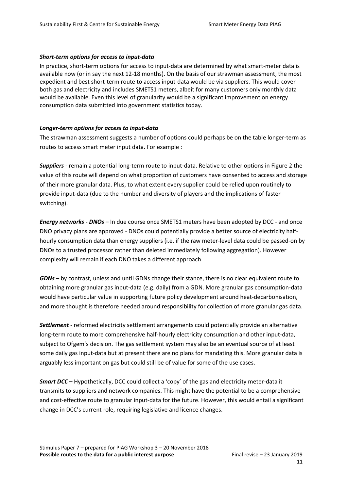#### *Short-term options for access to input-data*

In practice, short-term options for access to input-data are determined by what smart-meter data is available now (or in say the next 12-18 months). On the basis of our strawman assessment, the most expedient and best short-term route to access input-data would be via suppliers. This would cover both gas and electricity and includes SMETS1 meters, albeit for many customers only monthly data would be available. Even this level of granularity would be a significant improvement on energy consumption data submitted into government statistics today.

#### *Longer-term options for access to input-data*

The strawman assessment suggests a number of options could perhaps be on the table longer-term as routes to access smart meter input data. For example :

*Suppliers -* remain a potential long-term route to input-data. Relative to other options in Figure 2 the value of this route will depend on what proportion of customers have consented to access and storage of their more granular data. Plus, to what extent every supplier could be relied upon routinely to provide input-data (due to the number and diversity of players and the implications of faster switching).

*Energy networks - DNOs* – In due course once SMETS1 meters have been adopted by DCC - and once DNO privacy plans are approved - DNOs could potentially provide a better source of electricity halfhourly consumption data than energy suppliers (i.e. if the raw meter-level data could be passed-on by DNOs to a trusted processor rather than deleted immediately following aggregation). However complexity will remain if each DNO takes a different approach.

*GDNs* **–** by contrast, unless and until GDNs change their stance, there is no clear equivalent route to obtaining more granular gas input-data (e.g. daily) from a GDN. More granular gas consumption-data would have particular value in supporting future policy development around heat-decarbonisation, and more thought is therefore needed around responsibility for collection of more granular gas data.

*Settlement* - reformed electricity settlement arrangements could potentially provide an alternative long-term route to more comprehensive half-hourly electricity consumption and other input-data, subject to Ofgem's decision. The gas settlement system may also be an eventual source of at least some daily gas input-data but at present there are no plans for mandating this. More granular data is arguably less important on gas but could still be of value for some of the use cases.

*Smart DCC* **–** Hypothetically, DCC could collect a 'copy' of the gas and electricity meter-data it transmits to suppliers and network companies. This might have the potential to be a comprehensive and cost-effective route to granular input-data for the future. However, this would entail a significant change in DCC's current role, requiring legislative and licence changes.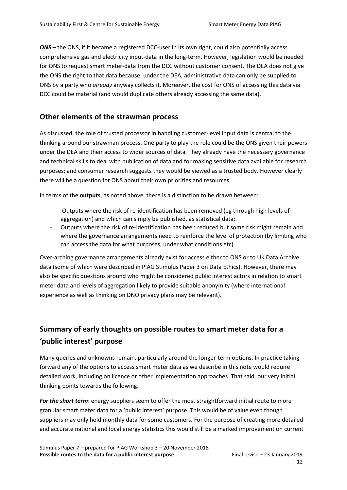*ONS* – the ONS, if it became a registered DCC-user in its own right, could also potentially access comprehensive gas and electricity input-data in the long-term. However, legislation would be needed for ONS to request smart meter-data from the DCC without customer consent. The DEA does not give the ONS the right to that data because, under the DEA, administrative data can only be supplied to ONS by a party who *already* anyway collects it. Moreover, the cost for ONS of accessing this data via DCC could be material (and would duplicate others already accessing the same data).

### **Other elements of the strawman process**

As discussed, the role of trusted processor in handling customer-level input data is central to the thinking around our strawman process. One party to play the role could be the ONS given their powers under the DEA and their access to wider sources of data. They already have the necessary governance and technical skills to deal with publication of data and for making sensitive data available for research purposes; and consumer research suggests they would be viewed as a trusted body. However clearly there will be a question for ONS about their own priorities and resources.

In terms of the **outputs**, as noted above, there is a distinction to be drawn between:

- Outputs where the risk of re-identification has been removed (eg through high levels of aggregation) and which can simply be published, as statistical data;
- Outputs where the risk of re-identification has been reduced but some risk might remain and where the governance arrangements need to reinforce the level of protection (by limiting who can access the data for what purposes, under what conditions etc).

Over-arching governance arrangements already exist for access either to ONS or to UK Data Archive data (some of which were described in PIAG Stimulus Paper 3 on Data Ethics). However, there may also be specific questions around who might be considered public interest actors in relation to smart meter data and levels of aggregation likely to provide suitable anonymity (where international experience as well as thinking on DNO privacy plans may be relevant).

## **Summary of early thoughts on possible routes to smart meter data for a 'public interest' purpose**

Many queries and unknowns remain, particularly around the longer-term options. In practice taking forward any of the options to access smart meter data as we describe in this note would require detailed work, including on licence or other implementation approaches. That said, our very initial thinking points towards the following.

*For the short term*: energy suppliers seem to offer the most straightforward initial route to more granular smart meter data for a 'public interest' purpose. This would be of value even though suppliers may only hold monthly data for some customers. For the purpose of creating more detailed and accurate national and local energy statistics this would still be a marked improvement on current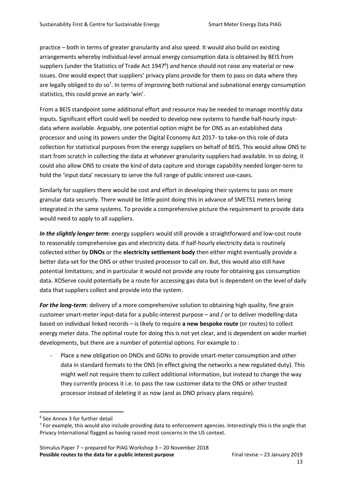practice – both in terms of greater granularity and also speed. It would also build on existing arrangements whereby individual-level annual energy consumption data is obtained by BEIS from suppliers (under the Statistics of Trade Act 1947<sup>6</sup>) and hence should not raise any material or new issues. One would expect that suppliers' privacy plans provide for them to pass on data where they are legally obliged to do so<sup>7</sup>. In terms of improving both national and subnational energy consumption statistics, this could prove an early 'win'.

From a BEIS standpoint some additional effort and resource may be needed to manage monthly data inputs. Significant effort could well be needed to develop new systems to handle half-hourly inputdata where available. Arguably, one potential option might be for ONS as an established data processor and using its powers under the Digital Economy Act 2017- to take-on this role of data collection for statistical purposes from the energy suppliers on behalf of BEIS. This would allow ONS to start from scratch in collecting the data at whatever granularity suppliers had available. In so doing, it could also allow ONS to create the kind of data capture and storage capability needed longer-term to hold the 'input data' necessary to serve the full range of public interest use-cases.

Similarly for suppliers there would be cost and effort in developing their systems to pass on more granular data securely. There would be little point doing this in advance of SMETS1 meters being integrated in the same systems. To provide a comprehensive picture the requirement to provide data would need to apply to all suppliers.

*In the slightly longer term*: energy suppliers would still provide a straightforward and low-cost route to reasonably comprehensive gas and electricity data. If half-hourly electricity data is routinely collected either by **DNOs** or the **electricity settlement body** then either might eventually provide a better data-set for the ONS or other trusted processor to call on. But, this would also still have potential limitations; and in particular it would not provide any route for obtaining gas consumption data. XOServe could potentially be a route for accessing gas data but is dependent on the level of daily data that suppliers collect and provide into the system.

*For the long-term*: delivery of a more comprehensive solution to obtaining high quality, fine grain customer smart-meter input-data for a public-interest purpose – and / or to deliver modelling-data based on individual linked records – is likely to require **a new bespoke route** (or routes) to collect energy meter data. The optimal route for doing this is not yet clear, and is dependent on wider market developments, but there are a number of potential options. For example to :

Place a new obligation on DNOs and GDNs to provide smart-meter consumption and other data in standard formats to the ONS (in effect giving the networks a new regulated duty). This might well not require them to collect additional information, but instead to change the way they currently process it i.e. to pass the raw customer data to the ONS or other trusted processor instead of deleting it as now (and as DNO privacy plans require).

<sup>6</sup> See Annex 3 for further detail

 $^7$  For example, this would also include providing data to enforcement agencies. Interestingly this is the angle that Privacy International flagged as having raised most concerns in the US context.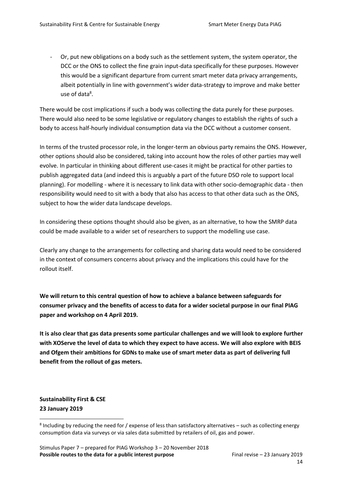Or, put new obligations on a body such as the settlement system, the system operator, the DCC or the ONS to collect the fine grain input-data specifically for these purposes. However this would be a significant departure from current smart meter data privacy arrangements, albeit potentially in line with government's wider data-strategy to improve and make better use of data<sup>8</sup>.

There would be cost implications if such a body was collecting the data purely for these purposes. There would also need to be some legislative or regulatory changes to establish the rights of such a body to access half-hourly individual consumption data via the DCC without a customer consent.

In terms of the trusted processor role, in the longer-term an obvious party remains the ONS. However, other options should also be considered, taking into account how the roles of other parties may well evolve. In particular in thinking about different use-cases it might be practical for other parties to publish aggregated data (and indeed this is arguably a part of the future DSO role to support local planning). For modelling - where it is necessary to link data with other socio-demographic data - then responsibility would need to sit with a body that also has access to that other data such as the ONS, subject to how the wider data landscape develops.

In considering these options thought should also be given, as an alternative, to how the SMRP data could be made available to a wider set of researchers to support the modelling use case.

Clearly any change to the arrangements for collecting and sharing data would need to be considered in the context of consumers concerns about privacy and the implications this could have for the rollout itself.

**We will return to this central question of how to achieve a balance between safeguards for consumer privacy and the benefits of access to data for a wider societal purpose in our final PIAG paper and workshop on 4 April 2019.**

**It is also clear that gas data presents some particular challenges and we will look to explore further with XOServe the level of data to which they expect to have access. We will also explore with BEIS and Ofgem their ambitions for GDNs to make use of smart meter data as part of delivering full benefit from the rollout of gas meters.**

**Sustainability First & CSE 23 January 2019**

 $\overline{a}$ 

 $^8$  Including by reducing the need for / expense of less than satisfactory alternatives – such as collecting energy consumption data via surveys or via sales data submitted by retailers of oil, gas and power.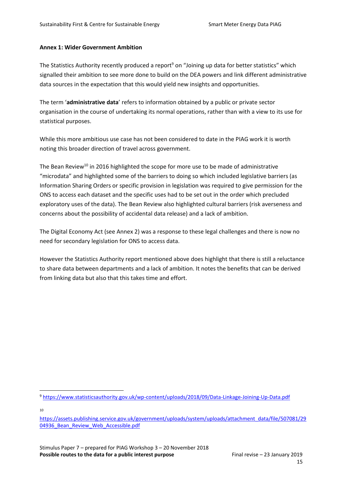#### **Annex 1: Wider Government Ambition**

The Statistics Authority recently produced a report<sup>9</sup> on "Joining up data for better statistics" which signalled their ambition to see more done to build on the DEA powers and link different administrative data sources in the expectation that this would yield new insights and opportunities.

The term '**administrative data**' refers to information obtained by a public or private sector organisation in the course of undertaking its normal operations, rather than with a view to its use for statistical purposes.

While this more ambitious use case has not been considered to date in the PIAG work it is worth noting this broader direction of travel across government.

The Bean Review<sup>10</sup> in 2016 highlighted the scope for more use to be made of administrative "microdata" and highlighted some of the barriers to doing so which included legislative barriers (as Information Sharing Orders or specific provision in legislation was required to give permission for the ONS to access each dataset and the specific uses had to be set out in the order which precluded exploratory uses of the data). The Bean Review also highlighted cultural barriers (risk averseness and concerns about the possibility of accidental data release) and a lack of ambition.

The Digital Economy Act (see Annex 2) was a response to these legal challenges and there is now no need for secondary legislation for ONS to access data.

However the Statistics Authority report mentioned above does highlight that there is still a reluctance to share data between departments and a lack of ambition. It notes the benefits that can be derived from linking data but also that this takes time and effort.

10

<sup>9</sup> <https://www.statisticsauthority.gov.uk/wp-content/uploads/2018/09/Data-Linkage-Joining-Up-Data.pdf>

[https://assets.publishing.service.gov.uk/government/uploads/system/uploads/attachment\\_data/file/507081/29](https://assets.publishing.service.gov.uk/government/uploads/system/uploads/attachment_data/file/507081/2904936_Bean_Review_Web_Accessible.pdf) 04936 Bean Review Web Accessible.pdf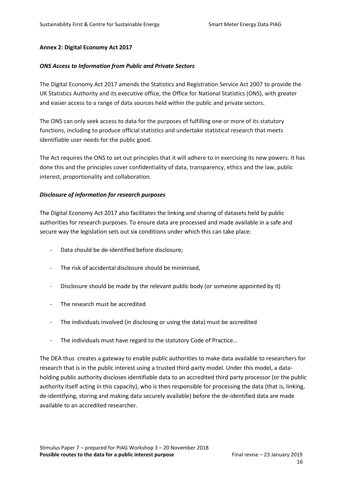#### **Annex 2: Digital Economy Act 2017**

#### *ONS Access to Information from Public and Private Sectors*

The Digital Economy Act 2017 amends the Statistics and Registration Service Act 2007 to provide the UK Statistics Authority and its executive office, the Office for National Statistics (ONS), with greater and easier access to a range of data sources held within the public and private sectors.

The ONS can only seek access to data for the purposes of fulfilling one or more of its statutory functions, including to produce official statistics and undertake statistical research that meets identifiable user needs for the public good.

The Act requires the ONS to set out principles that it will adhere to in exercising its new powers. It has done this and the principles cover confidentiality of data, transparency, ethics and the law, public interest, proportionality and collaboration.

#### *Disclosure of information for research purposes*

The Digital Economy Act 2017 also facilitates the linking and sharing of datasets held by public authorities for research purposes. To ensure data are processed and made available in a safe and secure way the legislation sets out six conditions under which this can take place:

- Data should be de-identified before disclosure;
- The risk of accidental disclosure should be minimised,
- Disclosure should be made by the relevant public body (or someone appointed by it)
- The research must be accredited
- The individuals involved (in disclosing or using the data) must be accredited
- The individuals must have regard to the statutory Code of Practice...

The DEA thus creates a gateway to enable public authorities to make data available to researchers for research that is in the public interest using a trusted third-party model. Under this model, a dataholding public authority discloses identifiable data to an accredited third party processor (or the public authority itself acting in this capacity), who is then responsible for processing the data (that is, linking, de-identifying, storing and making data securely available) before the de-identified data are made available to an accredited researcher.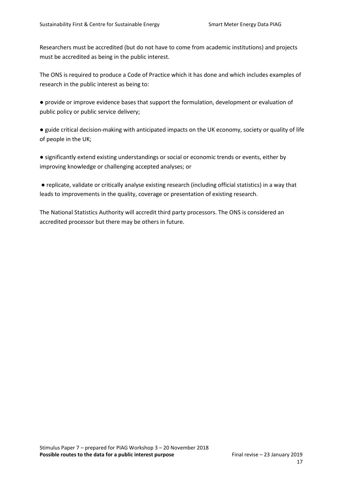Researchers must be accredited (but do not have to come from academic institutions) and projects must be accredited as being in the public interest.

The ONS is required to produce a Code of Practice which it has done and which includes examples of research in the public interest as being to:

● provide or improve evidence bases that support the formulation, development or evaluation of public policy or public service delivery;

● guide critical decision-making with anticipated impacts on the UK economy, society or quality of life of people in the UK;

● significantly extend existing understandings or social or economic trends or events, either by improving knowledge or challenging accepted analyses; or

● replicate, validate or critically analyse existing research (including official statistics) in a way that leads to improvements in the quality, coverage or presentation of existing research.

The National Statistics Authority will accredit third party processors. The ONS is considered an accredited processor but there may be others in future.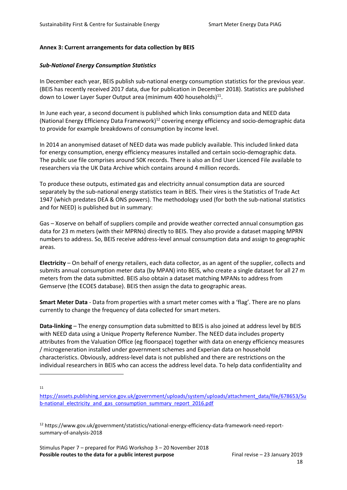#### **Annex 3: Current arrangements for data collection by BEIS**

#### *Sub-National Energy Consumption Statistics*

In December each year, BEIS publish sub-national energy consumption statistics for the previous year. (BEIS has recently received 2017 data, due for publication in December 2018). Statistics are published down to Lower Layer Super Output area (minimum 400 households) $^{11}$ .

In June each year, a second document is published which links consumption data and NEED data (National Energy Efficiency Data Framework)<sup>12</sup> covering energy efficiency and socio-demographic data to provide for example breakdowns of consumption by income level.

In 2014 an anonymised dataset of NEED data was made publicly available. This included linked data for energy consumption, energy efficiency measures installed and certain socio-demographic data. The public use file comprises around 50K records. There is also an End User Licenced File available to researchers via the UK Data Archive which contains around 4 million records.

To produce these outputs, estimated gas and electricity annual consumption data are sourced separately by the sub-national energy statistics team in BEIS. Their vires is the Statistics of Trade Act 1947 (which predates DEA & ONS powers). The methodology used (for both the sub-national statistics and for NEED) is published but in summary:

Gas – Xoserve on behalf of suppliers compile and provide weather corrected annual consumption gas data for 23 m meters (with their MPRNs) directly to BEIS. They also provide a dataset mapping MPRN numbers to address. So, BEIS receive address-level annual consumption data and assign to geographic areas.

**Electricity** – On behalf of energy retailers, each data collector, as an agent of the supplier, collects and submits annual consumption meter data (by MPAN) into BEIS, who create a single dataset for all 27 m meters from the data submitted. BEIS also obtain a dataset matching MPANs to address from Gemserve (the ECOES database). BEIS then assign the data to geographic areas.

**Smart Meter Data** - Data from properties with a smart meter comes with a 'flag'. There are no plans currently to change the frequency of data collected for smart meters.

**Data-linking** – The energy consumption data submitted to BEIS is also joined at address level by BEIS with NEED data using a Unique Property Reference Number. The NEED data includes property attributes from the Valuation Office (eg floorspace) together with data on energy efficiency measures / microgeneration installed under government schemes and Experian data on household characteristics. Obviously, address-level data is not published and there are restrictions on the individual researchers in BEIS who can access the address level data. To help data confidentiality and

11

 $\overline{a}$ 

[https://assets.publishing.service.gov.uk/government/uploads/system/uploads/attachment\\_data/file/678653/Su](https://assets.publishing.service.gov.uk/government/uploads/system/uploads/attachment_data/file/678653/Sub-national_electricity_and_gas_consumption_summary_report_2016.pdf) b-national electricity and gas consumption summary report 2016.pdf

<sup>12</sup> https://www.gov.uk/government/statistics/national-energy-efficiency-data-framework-need-reportsummary-of-analysis-2018